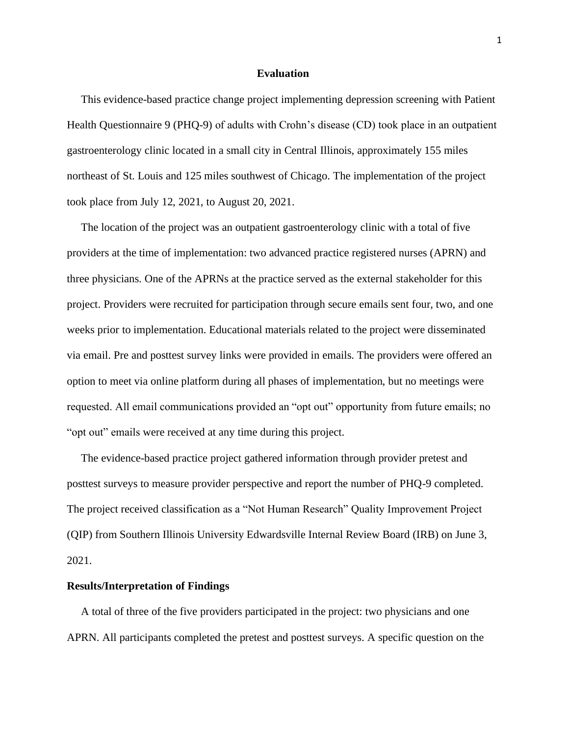## **Evaluation**

 This evidence-based practice change project implementing depression screening with Patient Health Questionnaire 9 (PHQ-9) of adults with Crohn's disease (CD) took place in an outpatient gastroenterology clinic located in a small city in Central Illinois, approximately 155 miles northeast of St. Louis and 125 miles southwest of Chicago. The implementation of the project took place from July 12, 2021, to August 20, 2021.

 The location of the project was an outpatient gastroenterology clinic with a total of five providers at the time of implementation: two advanced practice registered nurses (APRN) and three physicians. One of the APRNs at the practice served as the external stakeholder for this project. Providers were recruited for participation through secure emails sent four, two, and one weeks prior to implementation. Educational materials related to the project were disseminated via email. Pre and posttest survey links were provided in emails. The providers were offered an option to meet via online platform during all phases of implementation, but no meetings were requested. All email communications provided an "opt out" opportunity from future emails; no "opt out" emails were received at any time during this project.

 The evidence-based practice project gathered information through provider pretest and posttest surveys to measure provider perspective and report the number of PHQ-9 completed. The project received classification as a "Not Human Research" Quality Improvement Project (QIP) from Southern Illinois University Edwardsville Internal Review Board (IRB) on June 3, 2021.

## **Results/Interpretation of Findings**

 A total of three of the five providers participated in the project: two physicians and one APRN. All participants completed the pretest and posttest surveys. A specific question on the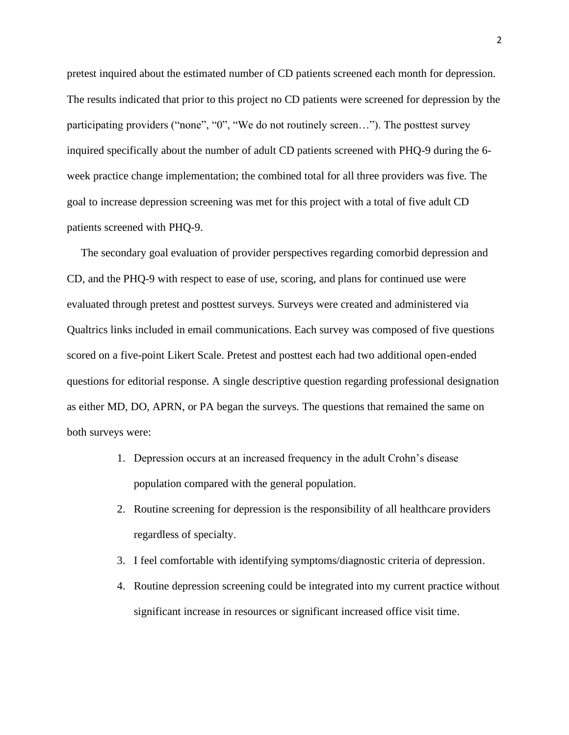pretest inquired about the estimated number of CD patients screened each month for depression. The results indicated that prior to this project no CD patients were screened for depression by the participating providers ("none", "0", "We do not routinely screen…"). The posttest survey inquired specifically about the number of adult CD patients screened with PHQ-9 during the 6 week practice change implementation; the combined total for all three providers was five. The goal to increase depression screening was met for this project with a total of five adult CD patients screened with PHQ-9.

 The secondary goal evaluation of provider perspectives regarding comorbid depression and CD, and the PHQ-9 with respect to ease of use, scoring, and plans for continued use were evaluated through pretest and posttest surveys. Surveys were created and administered via Qualtrics links included in email communications. Each survey was composed of five questions scored on a five-point Likert Scale. Pretest and posttest each had two additional open-ended questions for editorial response. A single descriptive question regarding professional designation as either MD, DO, APRN, or PA began the surveys. The questions that remained the same on both surveys were:

- 1. Depression occurs at an increased frequency in the adult Crohn's disease population compared with the general population.
- 2. Routine screening for depression is the responsibility of all healthcare providers regardless of specialty.
- 3. I feel comfortable with identifying symptoms/diagnostic criteria of depression.
- 4. Routine depression screening could be integrated into my current practice without significant increase in resources or significant increased office visit time.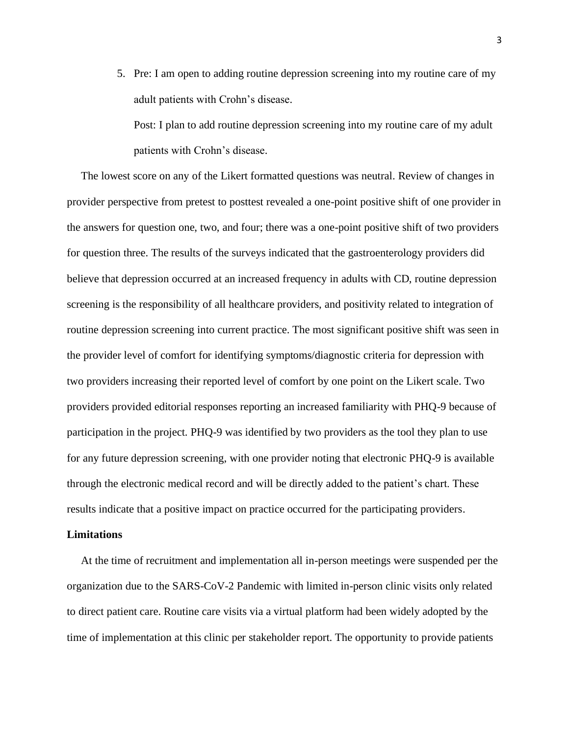5. Pre: I am open to adding routine depression screening into my routine care of my adult patients with Crohn's disease.

Post: I plan to add routine depression screening into my routine care of my adult patients with Crohn's disease.

 The lowest score on any of the Likert formatted questions was neutral. Review of changes in provider perspective from pretest to posttest revealed a one-point positive shift of one provider in the answers for question one, two, and four; there was a one-point positive shift of two providers for question three. The results of the surveys indicated that the gastroenterology providers did believe that depression occurred at an increased frequency in adults with CD, routine depression screening is the responsibility of all healthcare providers, and positivity related to integration of routine depression screening into current practice. The most significant positive shift was seen in the provider level of comfort for identifying symptoms/diagnostic criteria for depression with two providers increasing their reported level of comfort by one point on the Likert scale. Two providers provided editorial responses reporting an increased familiarity with PHQ-9 because of participation in the project. PHQ-9 was identified by two providers as the tool they plan to use for any future depression screening, with one provider noting that electronic PHQ-9 is available through the electronic medical record and will be directly added to the patient's chart. These results indicate that a positive impact on practice occurred for the participating providers.

## **Limitations**

 At the time of recruitment and implementation all in-person meetings were suspended per the organization due to the SARS-CoV-2 Pandemic with limited in-person clinic visits only related to direct patient care. Routine care visits via a virtual platform had been widely adopted by the time of implementation at this clinic per stakeholder report. The opportunity to provide patients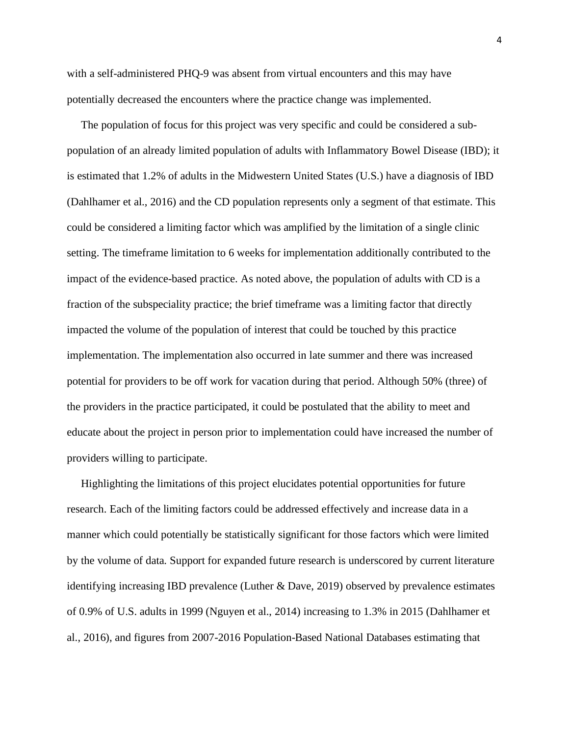with a self-administered PHQ-9 was absent from virtual encounters and this may have potentially decreased the encounters where the practice change was implemented.

 The population of focus for this project was very specific and could be considered a subpopulation of an already limited population of adults with Inflammatory Bowel Disease (IBD); it is estimated that 1.2% of adults in the Midwestern United States (U.S.) have a diagnosis of IBD (Dahlhamer et al., 2016) and the CD population represents only a segment of that estimate. This could be considered a limiting factor which was amplified by the limitation of a single clinic setting. The timeframe limitation to 6 weeks for implementation additionally contributed to the impact of the evidence-based practice. As noted above, the population of adults with CD is a fraction of the subspeciality practice; the brief timeframe was a limiting factor that directly impacted the volume of the population of interest that could be touched by this practice implementation. The implementation also occurred in late summer and there was increased potential for providers to be off work for vacation during that period. Although 50% (three) of the providers in the practice participated, it could be postulated that the ability to meet and educate about the project in person prior to implementation could have increased the number of providers willing to participate.

 Highlighting the limitations of this project elucidates potential opportunities for future research. Each of the limiting factors could be addressed effectively and increase data in a manner which could potentially be statistically significant for those factors which were limited by the volume of data. Support for expanded future research is underscored by current literature identifying increasing IBD prevalence (Luther & Dave, 2019) observed by prevalence estimates of 0.9% of U.S. adults in 1999 (Nguyen et al., 2014) increasing to 1.3% in 2015 (Dahlhamer et al., 2016), and figures from 2007-2016 Population-Based National Databases estimating that